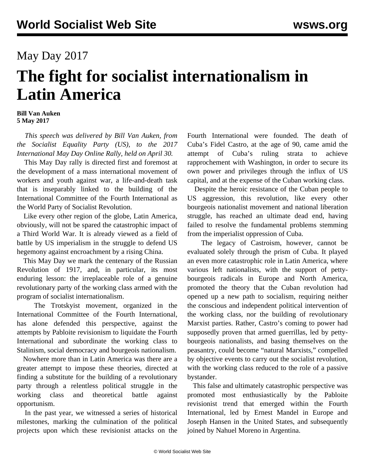## May Day 2017

## **The fight for socialist internationalism in Latin America**

## **Bill Van Auken 5 May 2017**

 *This speech was delivered by Bill Van Auken, from the Socialist Equality Party (US), to the 2017 International May Day Online Rally, held on April 30.*

 This May Day rally is directed first and foremost at the development of a mass international movement of workers and youth against war, a life-and-death task that is inseparably linked to the building of the International Committee of the Fourth International as the World Party of Socialist Revolution.

 Like every other region of the globe, Latin America, obviously, will not be spared the catastrophic impact of a Third World War. It is already viewed as a field of battle by US imperialism in the struggle to defend US hegemony against encroachment by a rising China.

 This May Day we mark the centenary of the Russian Revolution of 1917, and, in particular, its most enduring lesson: the irreplaceable role of a genuine revolutionary party of the working class armed with the program of socialist internationalism.

 The Trotskyist movement, organized in the International Committee of the Fourth International, has alone defended this perspective, against the attempts by Pabloite revisionism to liquidate the Fourth International and subordinate the working class to Stalinism, social democracy and bourgeois nationalism.

 Nowhere more than in Latin America was there are a greater attempt to impose these theories, directed at finding a substitute for the building of a revolutionary party through a relentless political struggle in the working class and theoretical battle against opportunism.

 In the past year, we witnessed a series of historical milestones, marking the culmination of the political projects upon which these revisionist attacks on the Fourth International were founded. The death of Cuba's Fidel Castro, at the age of 90, came amid the attempt of Cuba's ruling strata to achieve rapprochement with Washington, in order to secure its own power and privileges through the influx of US capital, and at the expense of the Cuban working class.

 Despite the heroic resistance of the Cuban people to US aggression, this revolution, like every other bourgeois nationalist movement and national liberation struggle, has reached an ultimate dead end, having failed to resolve the fundamental problems stemming from the imperialist oppression of Cuba.

 The legacy of Castroism, however, cannot be evaluated solely through the prism of Cuba. It played an even more catastrophic role in Latin America, where various left nationalists, with the support of pettybourgeois radicals in Europe and North America, promoted the theory that the Cuban revolution had opened up a new path to socialism, requiring neither the conscious and independent political intervention of the working class, nor the building of revolutionary Marxist parties. Rather, Castro's coming to power had supposedly proven that armed guerrillas, led by pettybourgeois nationalists, and basing themselves on the peasantry, could become "natural Marxists," compelled by objective events to carry out the socialist revolution, with the working class reduced to the role of a passive bystander.

 This false and ultimately catastrophic perspective was promoted most enthusiastically by the Pabloite revisionist trend that emerged within the Fourth International, led by Ernest Mandel in Europe and Joseph Hansen in the United States, and subsequently joined by Nahuel Moreno in Argentina.